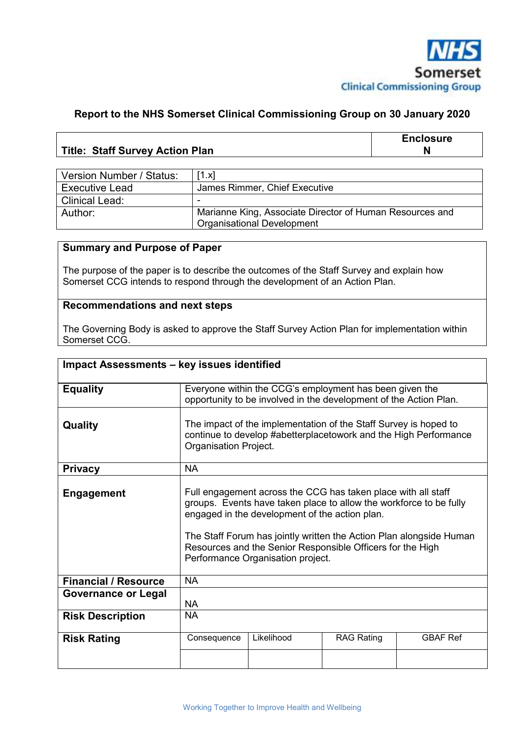

#### **Report to the NHS Somerset Clinical Commissioning Group on 30 January 2020**

|                                        | <b>Enclosure</b> |
|----------------------------------------|------------------|
| <b>Title: Staff Survey Action Plan</b> |                  |

| Version Number / Status: | [1.x]                                                    |
|--------------------------|----------------------------------------------------------|
| <b>Executive Lead</b>    | James Rimmer, Chief Executive                            |
| <b>Clinical Lead:</b>    | -                                                        |
| Author:                  | Marianne King, Associate Director of Human Resources and |
|                          | <b>Organisational Development</b>                        |

#### **Summary and Purpose of Paper**

The purpose of the paper is to describe the outcomes of the Staff Survey and explain how Somerset CCG intends to respond through the development of an Action Plan.

#### **Recommendations and next steps**

The Governing Body is asked to approve the Staff Survey Action Plan for implementation within Somerset CCG.

| Impact Assessments - key issues identified |                                                                                                                                                                                                                                                                                                                                                                 |            |                   |                 |
|--------------------------------------------|-----------------------------------------------------------------------------------------------------------------------------------------------------------------------------------------------------------------------------------------------------------------------------------------------------------------------------------------------------------------|------------|-------------------|-----------------|
| <b>Equality</b>                            | Everyone within the CCG's employment has been given the<br>opportunity to be involved in the development of the Action Plan.                                                                                                                                                                                                                                    |            |                   |                 |
| Quality                                    | The impact of the implementation of the Staff Survey is hoped to<br>continue to develop #abetterplacetowork and the High Performance<br>Organisation Project.                                                                                                                                                                                                   |            |                   |                 |
| <b>Privacy</b>                             | <b>NA</b>                                                                                                                                                                                                                                                                                                                                                       |            |                   |                 |
| <b>Engagement</b>                          | Full engagement across the CCG has taken place with all staff<br>groups. Events have taken place to allow the workforce to be fully<br>engaged in the development of the action plan.<br>The Staff Forum has jointly written the Action Plan alongside Human<br>Resources and the Senior Responsible Officers for the High<br>Performance Organisation project. |            |                   |                 |
| <b>Financial / Resource</b>                | <b>NA</b>                                                                                                                                                                                                                                                                                                                                                       |            |                   |                 |
| <b>Governance or Legal</b>                 | <b>NA</b>                                                                                                                                                                                                                                                                                                                                                       |            |                   |                 |
| <b>Risk Description</b>                    | <b>NA</b>                                                                                                                                                                                                                                                                                                                                                       |            |                   |                 |
| <b>Risk Rating</b>                         | Consequence                                                                                                                                                                                                                                                                                                                                                     | Likelihood | <b>RAG Rating</b> | <b>GBAF Ref</b> |
|                                            |                                                                                                                                                                                                                                                                                                                                                                 |            |                   |                 |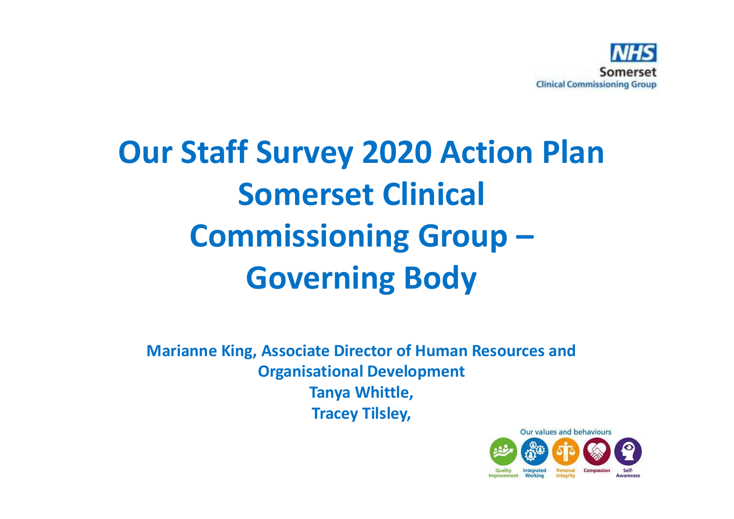

# **Our Staff Survey 2020 Action PlanSomerset Clinical Commissioning Group –Governing Body**

**Marianne King, Associate Director of Human Resources and Organisational DevelopmentTanya Whittle, Tracey Tilsley,** 

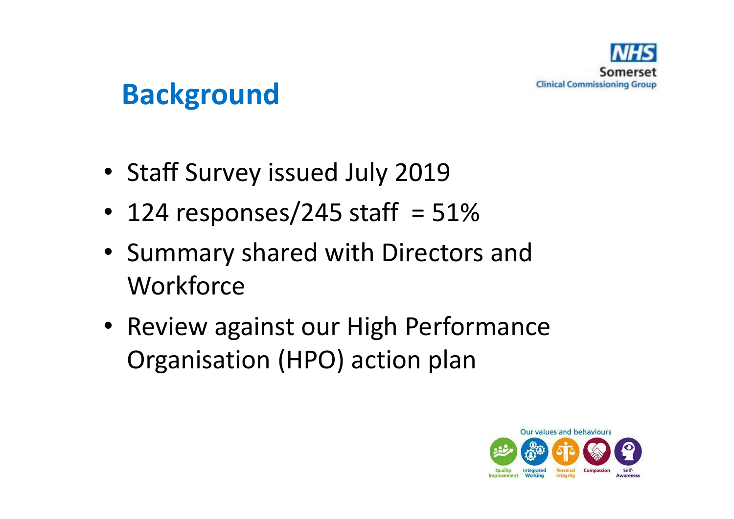

### **Background**

- Staff Survey issued July 2019
- 124 responses/245 staff  $= 51\%$
- Summary shared with Directors and **Workforce**
- Review against our High Performance Organisation (HPO) action plan

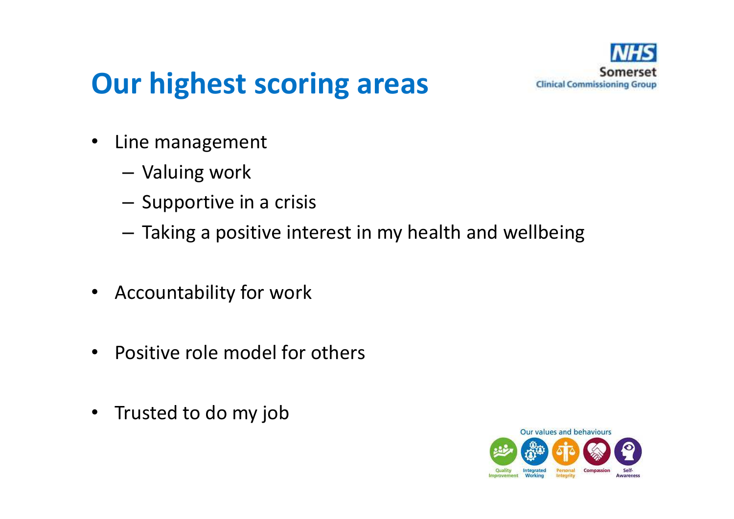

### **Our highest scoring areas**

- • Line management
	- Valuing work
	- $-$  Supportive in a crisis
	- $-$  Taking a positive interest in my health and wellbeing
- Accountability for work
- •Positive role model for others
- •Trusted to do my job

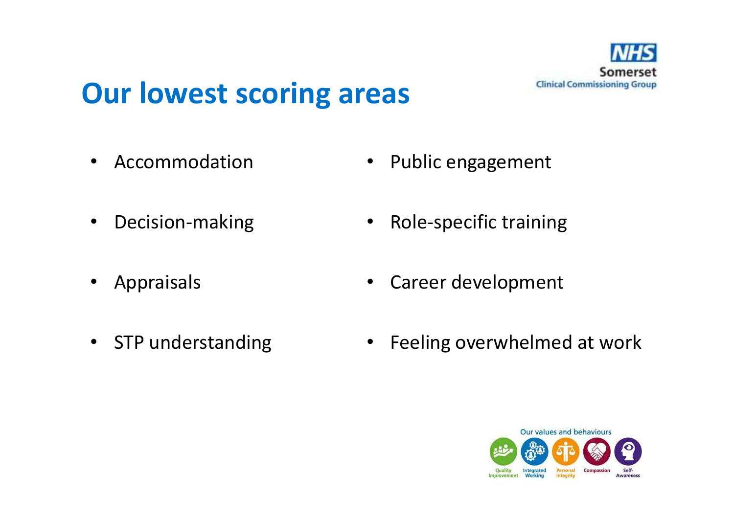

#### **Our lowest scoring areas**

 $\bullet$ Accommodation  $\bullet$ Public engagement

- •Decision-making
- Appraisals
- STP understanding
- •Role-specific training
- $\bullet$ Career development
- $\bullet$ Feeling overwhelmed at work

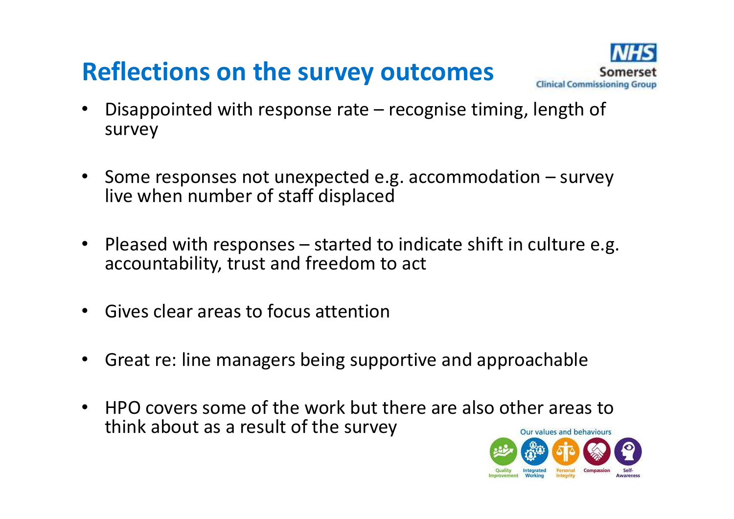#### **Reflections on the survey outcomes**



- • Disappointed with response rate – recognise timing, length of survey
- $\bullet$  Some responses not unexpected e.g. accommodation – survey live when number of staff displaced
- $\bullet$  Pleased with responses – started to indicate shift in culture e.g. accountability, trust and freedom to act
- $\bullet$ Gives clear areas to focus attention
- $\bullet$ Great re: line managers being supportive and approachable
- HPO covers some of the work but there are also other areas to •think about as a result of the surveyOur values and behaviours

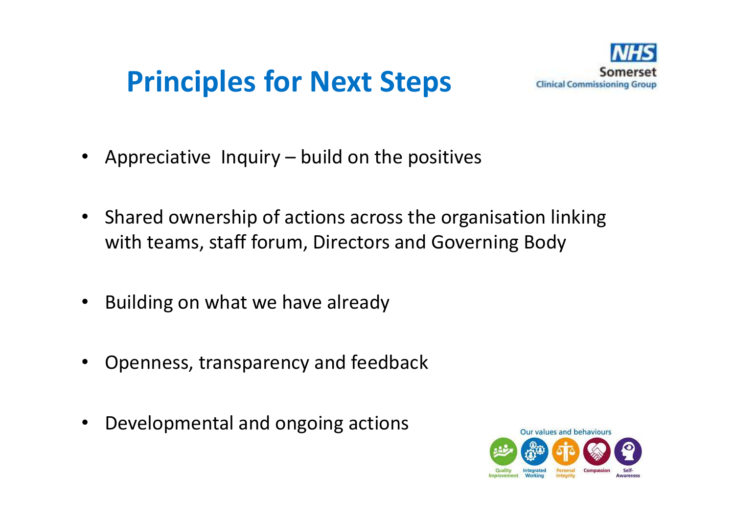## **Principles for Next Steps**



- $\bullet$ Appreciative Inquiry – build on the positives
- $\bullet$  Shared ownership of actions across the organisation linking with teams, staff forum, Directors and Governing Body
- $\bullet$ Building on what we have already
- •Openness, transparency and feedback
- •Developmental and ongoing actions

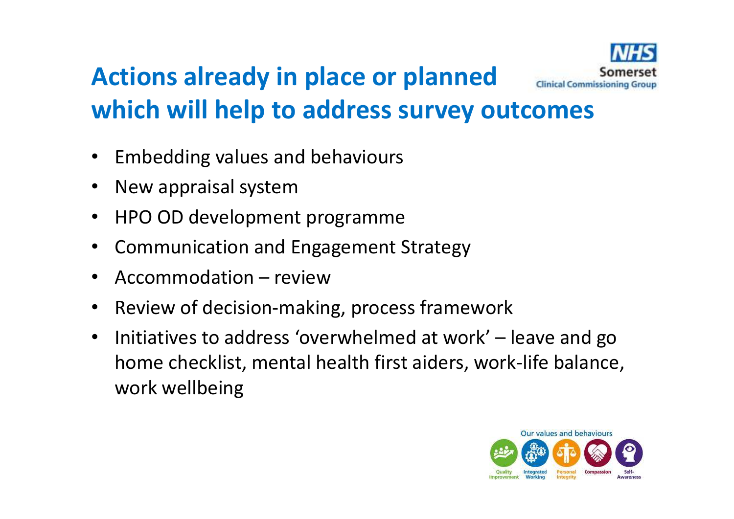#### **Actions already in place or planned Clinical Commissioning Group which will help to address survey outcomes**

- •Embedding values and behaviours
- •New appraisal system
- HPO OD development programme•
- •Communication and Engagement Strategy
- •Accommodation – review
- •Review of decision-making, process framework
- • Initiatives to address 'overwhelmed at work' – leave and go home checklist, mental health first aiders, work-life balance, work wellbeing

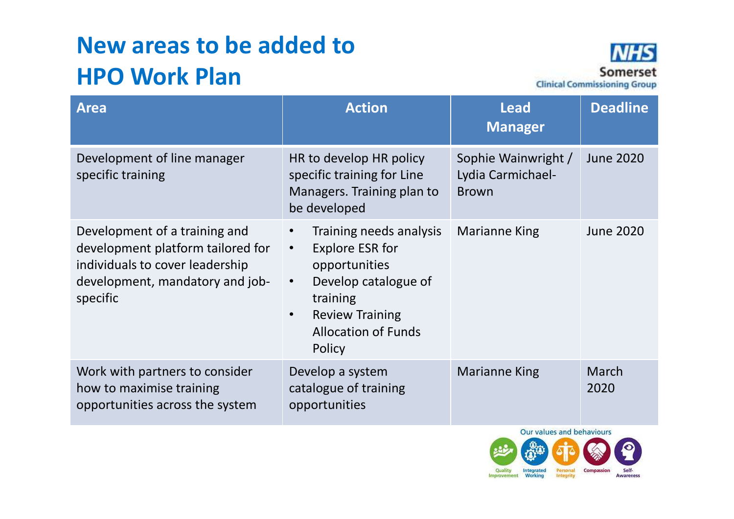#### **New areas to be added to HPO Work Plan**



| <b>Area</b>                                                                                                                                          | <b>Action</b>                                                                                                                                                                                                   | <b>Lead</b><br><b>Manager</b>                            | <b>Deadline</b>  |
|------------------------------------------------------------------------------------------------------------------------------------------------------|-----------------------------------------------------------------------------------------------------------------------------------------------------------------------------------------------------------------|----------------------------------------------------------|------------------|
| Development of line manager<br>specific training                                                                                                     | HR to develop HR policy<br>specific training for Line<br>Managers. Training plan to<br>be developed                                                                                                             | Sophie Wainwright /<br>Lydia Carmichael-<br><b>Brown</b> | <b>June 2020</b> |
| Development of a training and<br>development platform tailored for<br>individuals to cover leadership<br>development, mandatory and job-<br>specific | Training needs analysis<br>$\bullet$<br><b>Explore ESR for</b><br>$\bullet$<br>opportunities<br>Develop catalogue of<br>$\bullet$<br>training<br><b>Review Training</b><br><b>Allocation of Funds</b><br>Policy | Marianne King                                            | <b>June 2020</b> |
| Work with partners to consider<br>how to maximise training<br>opportunities across the system                                                        | Develop a system<br>catalogue of training<br>opportunities                                                                                                                                                      | <b>Marianne King</b>                                     | March<br>2020    |

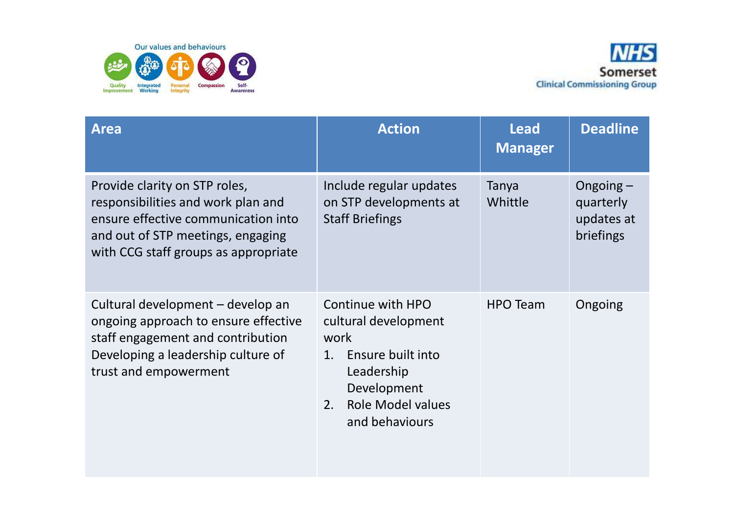



| <b>Area</b>                                                                                                                                                                             | <b>Action</b>                                                                                                                                                 | <b>Lead</b><br><b>Manager</b> | <b>Deadline</b>                                     |
|-----------------------------------------------------------------------------------------------------------------------------------------------------------------------------------------|---------------------------------------------------------------------------------------------------------------------------------------------------------------|-------------------------------|-----------------------------------------------------|
| Provide clarity on STP roles,<br>responsibilities and work plan and<br>ensure effective communication into<br>and out of STP meetings, engaging<br>with CCG staff groups as appropriate | Include regular updates<br>on STP developments at<br><b>Staff Briefings</b>                                                                                   | Tanya<br>Whittle              | Ongoing $-$<br>quarterly<br>updates at<br>briefings |
| Cultural development – develop an<br>ongoing approach to ensure effective<br>staff engagement and contribution<br>Developing a leadership culture of<br>trust and empowerment           | Continue with HPO<br>cultural development<br>work<br>Ensure built into<br>1.<br>Leadership<br>Development<br><b>Role Model values</b><br>2.<br>and behaviours | <b>HPO Team</b>               | Ongoing                                             |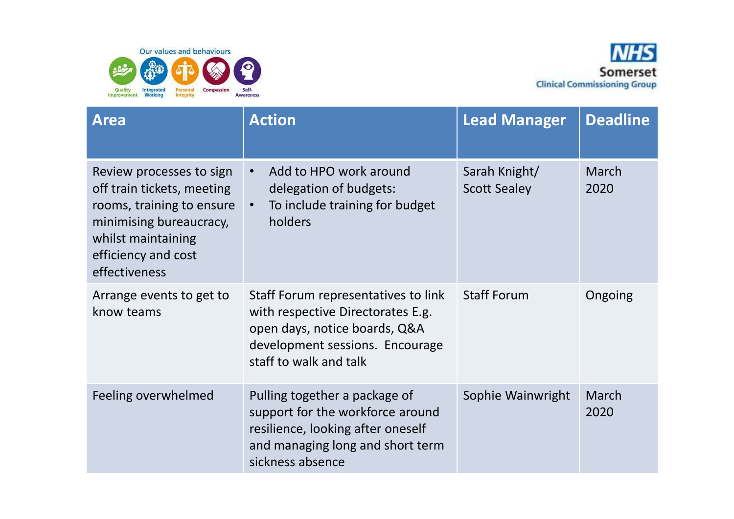



| <b>Area</b>                                                                                                                                                                  | <b>Action</b>                                                                                                                                                          | <b>Lead Manager</b>                  | <b>Deadline</b> |
|------------------------------------------------------------------------------------------------------------------------------------------------------------------------------|------------------------------------------------------------------------------------------------------------------------------------------------------------------------|--------------------------------------|-----------------|
| Review processes to sign<br>off train tickets, meeting<br>rooms, training to ensure<br>minimising bureaucracy,<br>whilst maintaining<br>efficiency and cost<br>effectiveness | Add to HPO work around<br>$\bullet$<br>delegation of budgets:<br>To include training for budget<br>$\bullet$<br>holders                                                | Sarah Knight/<br><b>Scott Sealey</b> | March<br>2020   |
| Arrange events to get to<br>know teams                                                                                                                                       | Staff Forum representatives to link<br>with respective Directorates E.g.<br>open days, notice boards, Q&A<br>development sessions. Encourage<br>staff to walk and talk | <b>Staff Forum</b>                   | Ongoing         |
| Feeling overwhelmed                                                                                                                                                          | Pulling together a package of<br>support for the workforce around<br>resilience, looking after oneself<br>and managing long and short term<br>sickness absence         | Sophie Wainwright                    | March<br>2020   |